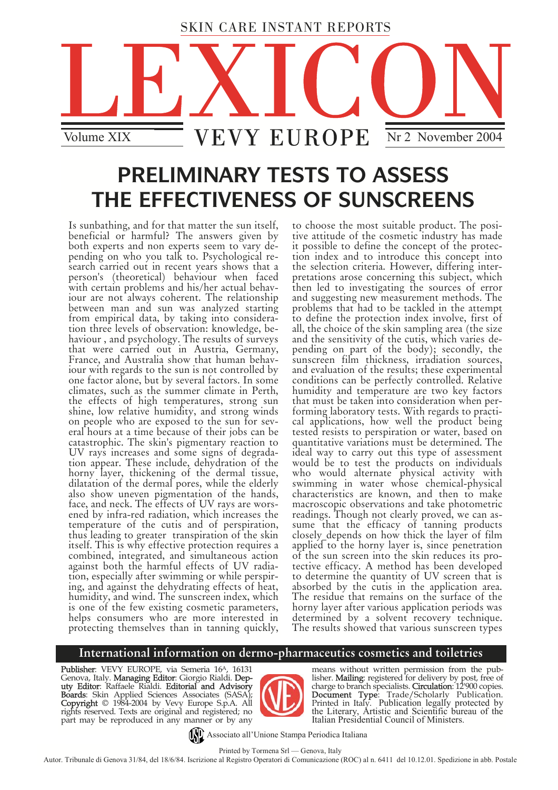

# **PRELIMINARY TESTS TO ASSESS THE EFFECTIVENESS OF SUNSCREENS**

Is sunbathing, and for that matter the sun itself, beneficial or harmful? The answers given by both experts and non experts seem to vary depending on who you talk to. Psychological research carried out in recent years shows that a person's (theoretical) behaviour when faced with certain problems and his/her actual behaviour are not always coherent. The relationship<br>between man and sun was analyzed starting from empirical data, by taking into consideration three levels of observation: knowledge, behaviour , and psychology. The results of surveys that were carried out in Austria, Germany, France, and Australia show that human behaviour with regards to the sun is not controlled by one factor alone, but by several factors. In some climates, such as the summer climate in Perth, the effects of high temperatures, strong sun shine, low relative humidity, and strong winds on people who are exposed to the sun for several hours at a time because of their jobs can be catastrophic. The skin's pigmentary reaction to UV rays increases and some signs of degradation appear. These include, dehydration of the horny layer, thickening of the dermal tissue, dilatation of the dermal pores, while the elderly also show uneven pigmentation of the hands, face, and neck. The effects of UV rays are worsened by infra-red radiation, which increases the temperature of the cutis and of perspiration, thus leading to greater transpiration of the skin itself. This is why effective protection requires a combined, integrated, and simultaneous action against both the harmful effects of UV radiation, especially after swimming or while perspiring, and against the dehydrating effects of heat, humidity, and wind. The sunscreen index, which is one of the few existing cosmetic parameters, helps consumers who are more interested in protecting themselves than in tanning quickly,

to choose the most suitable product. The positive attitude of the cosmetic industry has made it possible to define the concept of the protection index and to introduce this concept into the selection criteria. However, differing interpretations arose concerning this subject, which then led to investigating the sources of error and suggesting new measurement methods. The problems that had to be tackled in the attempt to define the protection index involve, first of all, the choice of the skin sampling area (the size and the sensitivity of the cutis, which varies depending on part of the body); secondly, the sunscreen film thickness, irradiation sources, and evaluation of the results; these experimental conditions can be perfectly controlled. Relative humidity and temperature are two key factors that must be taken into consideration when performing laboratory tests. With regards to practical applications, how well the product being tested resists to perspiration or water, based on quantitative variations must be determined. The ideal way to carry out this type of assessment would be to test the products on individuals who would alternate physical activity with swimming in water whose chemical-physical characteristics are known, and then to make macroscopic observations and take photometric readings. Though not clearly proved, we can assume that the efficacy of tanning products closely depends on how thick the layer of film applied to the horny layer is, since penetration of the sun screen into the skin reduces its protective efficacy. A method has been developed to determine the quantity of UV screen that is absorbed by the cutis in the application area. The residue that remains on the surface of the horny layer after various application periods was determined by a solvent recovery technique. The results showed that various sunscreen types

## **International information on dermo-pharmaceutics cosmetics and toiletries**

Publisher: VEVY EUROPE, via Semeria 16<sup>A</sup>, 16131 Genova, Italy. **Managing Editor**: Giorgio Rialdi. **Dep**uty Editor: Raffaele Rialdi. Editorial and Advisory Boards: Skin Applied Sciences Associates (SASA) Copyright © 1984-2004 by Vevy Europe S.p.A. All rights reserved. Texts are original and registered; no part may be reproduced in any manner or by any



means without written permission from the publisher. Mailing: registered for delivery by post, free of charge to branch specialists. **Circulation**: 12'900 copies. **Document Type**: Trade/Scholarly Publication.<br>Printed in Italy. Publication legally protected by<br>the Literary, Artistic and Scientific bureau of the Italian Presidential Council of Ministers.

Associato all'Unione Stampa Periodica Italiana

Printed by Tormena Srl — Genova, Italy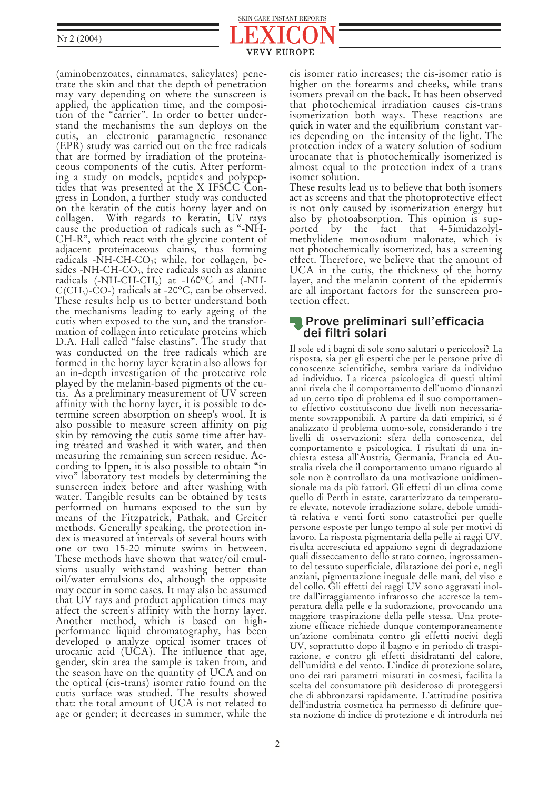

(aminobenzoates, cinnamates, salicylates) penetrate the skin and that the depth of penetration may vary depending on where the sunscreen is applied, the application time, and the composition of the "carrier". In order to better understand the mechanisms the sun deploys on the cutis, an electronic paramagnetic resonance (EPR) study was carried out on the free radicals that are formed by irradiation of the proteinaceous components of the cutis. After performtides that was presented at the X IFSCC Congress in London, a further study was conducted on the keratin of the cutis horny layer and on collagen. With regards to keratin, UV rays cause the production of radicals such as "-NH-CH-R", which react with the glycine content of adjacent proteinaceous chains, thus forming<br>radicals -NH-CH-CO<sub>3</sub>; while, for collagen, besides -NH-CH- $CO<sub>3</sub>$ , free radicals such as alanine radicals (-NH-CH-CH<sub>3</sub>) at -160<sup>o</sup>C and (-NH- $C(CH<sub>3</sub>)$ -CO-) radicals at -20 $^{\circ}$ C, can be observed. These results help us to better understand both the mechanisms leading to early ageing of the cutis when exposed to the sun, and the transformation of collagen into reticulate proteins which D.A. Hall called "false elastins". The study that was conducted on the free radicals which are formed in the horny layer keratin also allows for an in-depth investigation of the protective role played by the melanin-based pigments of the cutis. As a preliminary measurement of UV screen affinity with the horny layer, it is possible to determine screen absorption on sheep's wool. It is also possible to measure screen affinity on pig skin by removing the cutis some time after having treated and washed it with water, and then measuring the remaining sun screen residue. According to Ippen, it is also possible to obtain "in vivo" laboratory test models by determining the sunscreen index before and after washing with water. Tangible results can be obtained by tests performed on humans exposed to the sun by means of the Fitzpatrick, Pathak, and Greiter methods. Generally speaking, the protection index is measured at intervals of several hours with one or two 15-20 minute swims in between. These methods have shown that water/oil emulsions usually withstand washing better than oil/water emulsions do, although the opposite may occur in some cases. It may also be assumed that UV rays and product application times may affect the screen's affinity with the horny layer. Another method, which is based on highperformance liquid chromatography, has been developed o analyze optical isomer traces of urocanic acid (UCA). The influence that age, gender, skin area the sample is taken from, and the season have on the quantity of UCA and on the optical (cis-trans) isomer ratio found on the cutis surface was studied. The results showed that: the total amount of UCA is not related to age or gender; it decreases in summer, while the

cis isomer ratio increases; the cis-isomer ratio is higher on the forearms and cheeks, while trans isomers prevail on the back. It has been observed that photochemical irradiation causes cis-trans isomerization both ways. These reactions are quick in water and the equilibrium constant varies depending on the intensity of the light. The protection index of a watery solution of sodium urocanate that is photochemically isomerized is almost equal to the protection index of a trans isomer solution.

These results lead us to believe that both isomers act as screens and that the photoprotective effect is not only caused by isomerization energy but also by photoabsorption. This opinion is supported by the fact that 4-5imidazolylmethylidene monosodium malonate, which is not photochemically isomerized, has a screening effect. Therefore, we believe that the amount of UCA in the cutis, the thickness of the horny layer, and the melanin content of the epidermis are all important factors for the sunscreen protection effect.

## **Prove preliminari sull'efficacia dei filtri solari**

Il sole ed i bagni di sole sono salutari o pericolosi? La risposta, sia per gli esperti che per le persone prive di conoscenze scientifiche, sembra variare da individuo ad individuo. La ricerca psicologica di questi ultimi anni rivela che il comportamento dell'uomo d'innanzi ad un certo tipo di problema ed il suo comportamento effettivo costituiscono due livelli non necessariamente sovrapponibili. A partire da dati empirici, si é analizzato il problema uomo-sole, considerando i tre livelli di osservazioni: sfera della conoscenza, del comportamento e psicologica. I risultati di una inchiesta estesa all'Austria, Germania, Francia ed Australia rivela che il comportamento umano riguardo al sole non è controllato da una motivazione unidimensionale ma da più fattori. Gli effetti di un clima come quello di Perth in estate, caratterizzato da temperature elevate, notevole irradiazione solare, debole umidità relativa e venti forti sono catastrofici per quelle persone esposte per lungo tempo al sole per motivi di lavoro. La risposta pigmentaria della pelle ai raggi UV. risulta accresciuta ed appaiono segni di degradazione quali disseccamento dello strato corneo, ingrossamento del tessuto superficiale, dilatazione dei pori e, negli anziani, pigmentazione ineguale delle mani, del viso e del collo. Gli effetti dei raggi UV sono aggravati inoltre dall'irraggiamento infrarosso che accresce la temperatura della pelle e la sudorazione, provocando una maggiore traspirazione della pelle stessa. Una protezione efficace richiede dunque contemporaneamente un'azione combinata contro gli effetti nocivi degli UV, soprattutto dopo il bagno e in periodo di traspirazione, e contro gli effetti disidratanti del calore, dell'umidità e del vento. L'indice di protezione solare, uno dei rari parametri misurati in cosmesi, facilita la scelta del consumatore più desideroso di proteggersi che di abbronzarsi rapidamente. L'attitudine positiva dell'industria cosmetica ha permesso di definire questa nozione di indice di protezione e di introdurla nei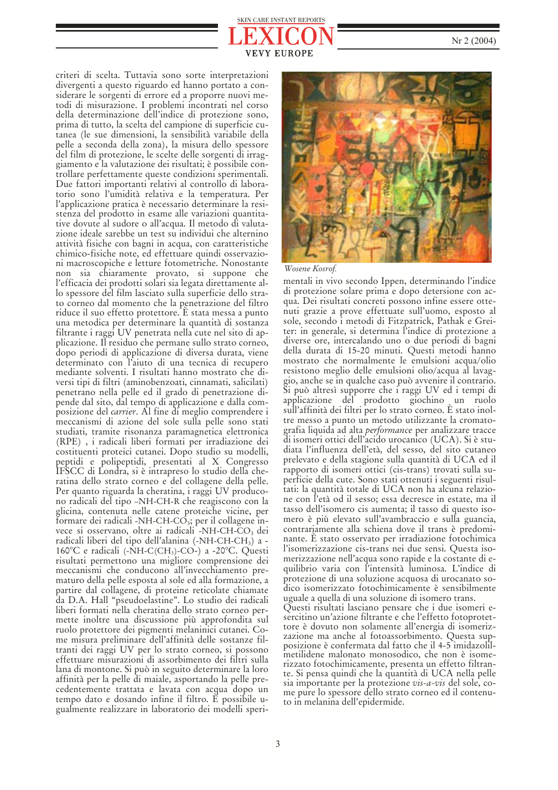## **EUROPE** SKIN CARE INSTANT REPORTS

criteri di scelta. Tuttavia sono sorte interpretazioni divergenti a questo riguardo ed hanno portato a considerare le sorgenti di errore ed a proporre nuovi metodi di misurazione. I problemi incontrati nel corso della determinazione dell'indice di protezione sono, prima di tutto, la scelta del campione di superficie cutanea (le sue dimensioni, la sensibilità variabile della pelle a seconda della zona), la misura dello spessore del film di protezione, le scelte delle sorgenti di irraggiamento e la valutazione dei risultati; è possibile controllare perfettamente queste condizioni sperimentali. Due fattori importanti relativi al controllo di laboratorio sono l'umidità relativa e la temperatura. Per l'applicazione pratica è necessario determinare la resistenza del prodotto in esame alle variazioni quantitative dovute al sudore o all'acqua. Il metodo di valutazione ideale sarebbe un test su individui che alternino attività fisiche con bagni in acqua, con caratteristiche chimico-fisiche note, ed effettuare quindi osservazioni macroscopiche e letture fotometriche. Nonostante non sia chiaramente provato, si suppone che l'efficacia dei prodotti solari sia legata direttamente allo spessore del film lasciato sulla superficie dello strato corneo dal momento che la penetrazione del filtro riduce il suo effetto protettore. È stata messa a punto una metodica per determinare la quantità di sostanza filtrante i raggi UV penetrata nella cute nel sito di applicazione. Il residuo che permane sullo strato corneo, dopo periodi di applicazione di diversa durata, viene determinato con l'aiuto di una tecnica di recupero mediante solventi. I risultati hanno mostrato che diversi tipi di filtri (aminobenzoati, cinnamati, salicilati) penetrano nella pelle ed il grado di penetrazione dipende dal sito, dal tempo di applicazione e dalla composizione del *carrier*. Al fine di meglio comprendere i meccanismi di azione del sole sulla pelle sono stati studiati, tramite risonanza paramagnetica elettronica (RPE) , i radicali liberi formati per irradiazione dei costituenti proteici cutanei. Dopo studio su modelli, peptidi e polipeptidi, presentati al X Congresso IFSCC di Londra, si è intrapreso lo studio della cheratina dello strato corneo e del collagene della pelle. Per quanto riguarda la cheratina, i raggi UV producono radicali del tipo –NH-CH-R che reagiscono con la glicina, contenuta nelle catene proteiche vicine, per formare dei radicali -NH-CH-CO<sub>3</sub>; per il collagene invece si osservano, oltre ai radicali -NH-CH-CO<sub>3</sub> dei radicali liberi del tipo dell'alanina (-NH-CH-CH<sub>3</sub>) a -160°C e radicali (-NH-C(CH3)-CO-) a -20°C. Questi risultati permettono una migliore comprensione dei meccanismi che conducono all'invecchiamento prematuro della pelle esposta al sole ed alla formazione, a partire dal collagene, di proteine reticolate chiamate da D.A. Hall "pseudoelastine". Lo studio dei radicali liberi formati nella cheratina dello strato corneo permette inoltre una discussione più approfondita sul ruolo protettore dei pigmenti melaninici cutanei. Come misura preliminare dell'affinità delle sostanze filtranti dei raggi UV per lo strato corneo, si possono effettuare misurazioni di assorbimento dei filtri sulla lana di montone. Si può in seguito determinare la loro affinità per la pelle di maiale, asportando la pelle precedentemente trattata e lavata con acqua dopo un tempo dato e dosando infine il filtro. È possibile ugualmente realizzare in laboratorio dei modelli speri-



#### *Wosene Kosrof.*

mentali in vivo secondo Ippen, determinando l'indice di protezione solare prima e dopo detersione con acqua. Dei risultati concreti possono infine essere ottenuti grazie a prove effettuate sull'uomo, esposto al sole, secondo i metodi di Fitzpatrick, Pathak e Greiter: in generale, si determina l'indice di protezione a diverse ore, intercalando uno o due periodi di bagni della durata di 15-20 minuti. Questi metodi hanno mostrato che normalmente le emulsioni acqua/olio resistono meglio delle emulsioni olio/acqua al lavaggio, anche se in qualche caso può avvenire il contrario. Si può altresì supporre che i raggi UV ed i tempi di applicazione del prodotto giochino un ruolo sull'affinità dei filtri per lo strato corneo. È stato inoltre messo a punto un metodo utilizzante la cromatografia liquida ad alta *performance* per analizzare tracce di isomeri ottici dell'acido urocanico (UCA). Si è studiata l'influenza dell'età, del sesso, del sito cutaneo prelevato e della stagione sulla quantità di UCA ed il rapporto di isomeri ottici (cis-trans) trovati sulla superficie della cute. Sono stati ottenuti i seguenti risultati: la quantità totale di UCA non ha alcuna relazione con l'età od il sesso; essa decresce in estate, ma il tasso dell'isomero cis aumenta; il tasso di questo isomero è più elevato sull'avambraccio e sulla guancia, contrariamente alla schiena dove il trans è predominante. È stato osservato per irradiazione fotochimica l'isomerizzazione cis-trans nei due sensi. Questa isomerizzazione nell'acqua sono rapide e la costante di equilibrio varia con l'intensità luminosa. L'indice di protezione di una soluzione acquosa di urocanato sodico isomerizzato fotochimicamente è sensibilmente uguale a quella di una soluzione di isomero trans.

Questi risultati lasciano pensare che i due isomeri esercitino un'azione filtrante e che l'effetto fotoprotettore è dovuto non solamente all'energia di isomerizzazione ma anche al fotoassorbimento. Questa supposizione è confermata dal fatto che il 4-5 imidazolilmetilidene malonato monosodico, che non è isomerizzato fotochimicamente, presenta un effetto filtrante. Si pensa quindi che la quantità di UCA nella pelle sia importante per la protezione *vis-a-vis* del sole, come pure lo spessore dello strato corneo ed il contenuto in melanina dell'epidermide.